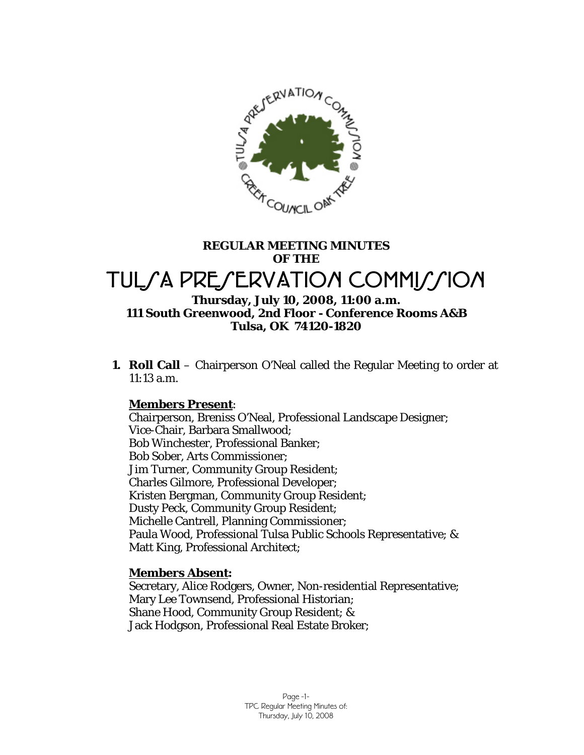

# **REGULAR MEETING MINUTES OF THE**  TULSA PRESERVATION COMMISSION

## **Thursday, July 10, 2008, 11:00 a.m. 111 South Greenwood, 2nd Floor - Conference Rooms A&B Tulsa, OK 74120-1820**

**1. Roll Call** – Chairperson O'Neal called the Regular Meeting to order at 11:13 a.m.

## **Members Present**:

Chairperson, Breniss O'Neal, Professional Landscape Designer; Vice-Chair, Barbara Smallwood; Bob Winchester, Professional Banker; Bob Sober, Arts Commissioner; Jim Turner, Community Group Resident; Charles Gilmore, Professional Developer; Kristen Bergman, Community Group Resident; Dusty Peck, Community Group Resident; Michelle Cantrell, Planning Commissioner; Paula Wood, Professional Tulsa Public Schools Representative; & Matt King, Professional Architect;

## **Members Absent:**

Secretary, Alice Rodgers, Owner, Non-residential Representative; Mary Lee Townsend, Professional Historian; Shane Hood, Community Group Resident; & Jack Hodgson, Professional Real Estate Broker;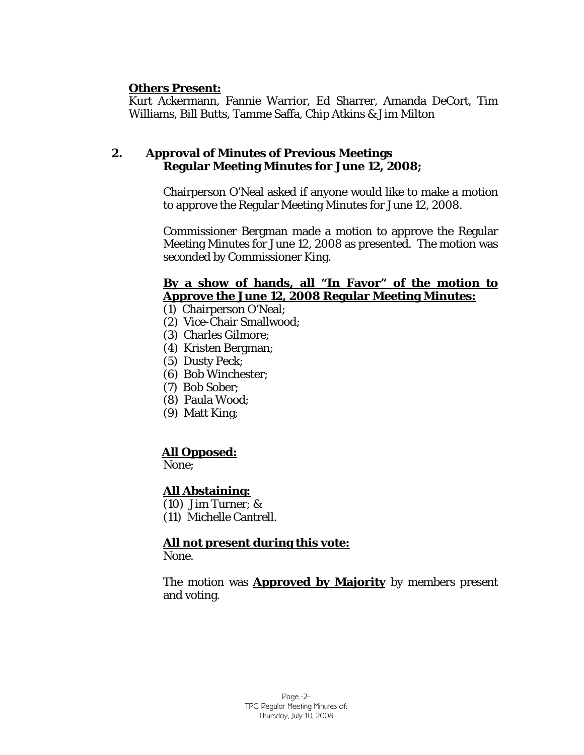## **Others Present:**

Kurt Ackermann, Fannie Warrior, Ed Sharrer, Amanda DeCort, Tim Williams, Bill Butts, Tamme Saffa, Chip Atkins & Jim Milton

## **2. Approval of Minutes of Previous Meetings Regular Meeting Minutes for June 12, 2008;**

Chairperson O'Neal asked if anyone would like to make a motion to approve the Regular Meeting Minutes for June 12, 2008.

Commissioner Bergman made a motion to approve the Regular Meeting Minutes for June 12, 2008 as presented. The motion was seconded by Commissioner King.

## **By a show of hands, all "In Favor" of the motion to Approve the June 12, 2008 Regular Meeting Minutes:**

- (1) Chairperson O'Neal;
- (2) Vice-Chair Smallwood;
- (3) Charles Gilmore;
- (4) Kristen Bergman;
- (5) Dusty Peck;
- (6) Bob Winchester;
- (7) Bob Sober;
- (8) Paula Wood;
- (9) Matt King;

## **All Opposed:**

None;

## **All Abstaining:**

- (10) Jim Turner; &
- (11) Michelle Cantrell.

## **All not present during this vote:**

None.

The motion was **Approved by Majority** by members present and voting.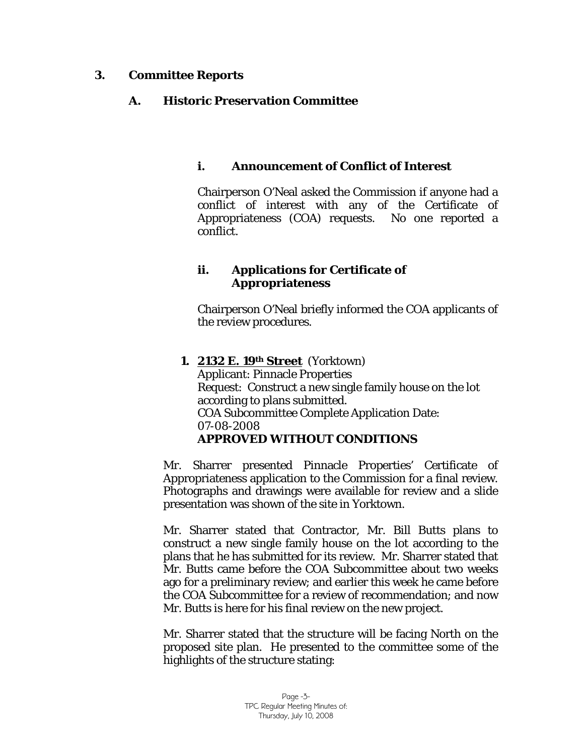## **3. Committee Reports**

## **A. Historic Preservation Committee**

## **i. Announcement of Conflict of Interest**

Chairperson O'Neal asked the Commission if anyone had a conflict of interest with any of the Certificate of Appropriateness (COA) requests. No one reported a conflict.

## **ii. Applications for Certificate of Appropriateness**

Chairperson O'Neal briefly informed the COA applicants of the review procedures.

**1. 2132 E. 19th Street** (Yorktown) Applicant: Pinnacle Properties Request: Construct a new single family house on the lot according to plans submitted. COA Subcommittee Complete Application Date: 07-08-2008 **APPROVED WITHOUT CONDITIONS** 

Mr. Sharrer presented Pinnacle Properties' Certificate of Appropriateness application to the Commission for a final review. Photographs and drawings were available for review and a slide presentation was shown of the site in Yorktown.

Mr. Sharrer stated that Contractor, Mr. Bill Butts plans to construct a new single family house on the lot according to the plans that he has submitted for its review. Mr. Sharrer stated that Mr. Butts came before the COA Subcommittee about two weeks ago for a preliminary review; and earlier this week he came before the COA Subcommittee for a review of recommendation; and now Mr. Butts is here for his final review on the new project.

Mr. Sharrer stated that the structure will be facing North on the proposed site plan. He presented to the committee some of the highlights of the structure stating: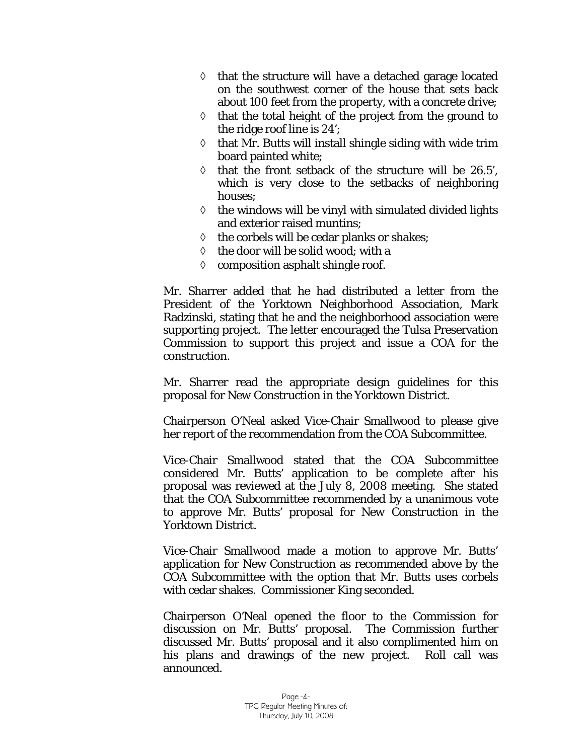- ◊ that the structure will have a detached garage located on the southwest corner of the house that sets back about 100 feet from the property, with a concrete drive;
- $\Diamond$  that the total height of the project from the ground to the ridge roof line is 24';
- $\diamond$  that Mr. Butts will install shingle siding with wide trim board painted white;
- ◊ that the front setback of the structure will be 26.5', which is very close to the setbacks of neighboring houses;
- $\diamond$  the windows will be vinyl with simulated divided lights and exterior raised muntins;
- ◊ the corbels will be cedar planks or shakes;
- ◊ the door will be solid wood; with a
- ◊ composition asphalt shingle roof.

Mr. Sharrer added that he had distributed a letter from the President of the Yorktown Neighborhood Association, Mark Radzinski, stating that he and the neighborhood association were supporting project. The letter encouraged the Tulsa Preservation Commission to support this project and issue a COA for the construction.

Mr. Sharrer read the appropriate design guidelines for this proposal for *New Construction in the Yorktown District.* 

Chairperson O'Neal asked Vice-Chair Smallwood to please give her report of the recommendation from the COA Subcommittee.

Vice-Chair Smallwood stated that the COA Subcommittee considered Mr. Butts' application to be complete after his proposal was reviewed at the July 8, 2008 meeting. She stated that the COA Subcommittee recommended by a unanimous vote to approve Mr. Butts' proposal for *New Construction* in the Yorktown District.

Vice-Chair Smallwood made a motion to approve Mr. Butts' application for New Construction as recommended above by the COA Subcommittee with the option that Mr. Butts uses corbels with cedar shakes. Commissioner King seconded.

Chairperson O'Neal opened the floor to the Commission for discussion on Mr. Butts' proposal. The Commission further discussed Mr. Butts' proposal and it also complimented him on his plans and drawings of the new project. Roll call was announced.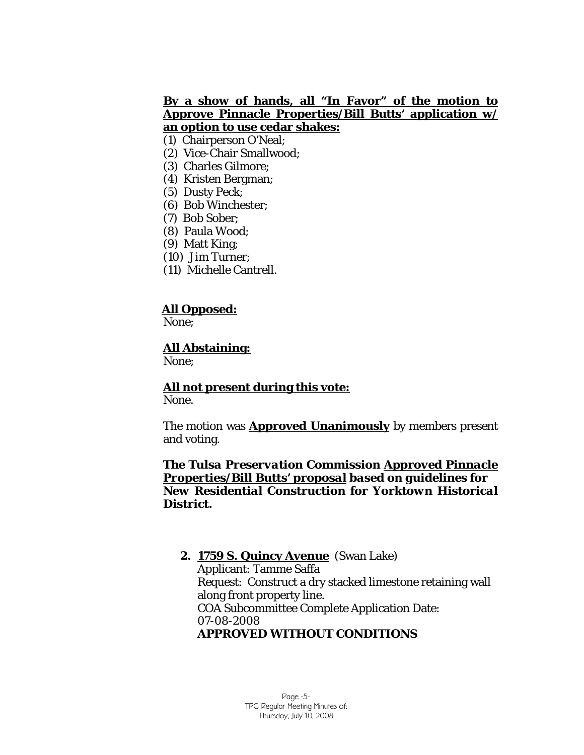## **By a show of hands, all "In Favor" of the motion to Approve Pinnacle Properties/Bill Butts' application w/ an option to use cedar shakes:**

- (1) Chairperson O'Neal;
- (2) Vice-Chair Smallwood;
- (3) Charles Gilmore;
- (4) Kristen Bergman;
- (5) Dusty Peck;
- (6) Bob Winchester;
- (7) Bob Sober;
- (8) Paula Wood;
- (9) Matt King;
- (10) Jim Turner;
- (11) Michelle Cantrell.

## **All Opposed:**

None;

## **All Abstaining:**

None;

## **All not present during this vote:**

None.

The motion was **Approved Unanimously** by members present and voting.

#### *The Tulsa Preservation Commission Approved Pinnacle Properties/Bill Butts' proposal based on guidelines for New Residential Construction for Yorktown Historical District.*

## **2. 1759 S. Quincy Avenue** (Swan Lake) Applicant: Tamme Saffa Request: Construct a dry stacked limestone retaining wall along front property line. COA Subcommittee Complete Application Date: 07-08-2008 **APPROVED WITHOUT CONDITIONS**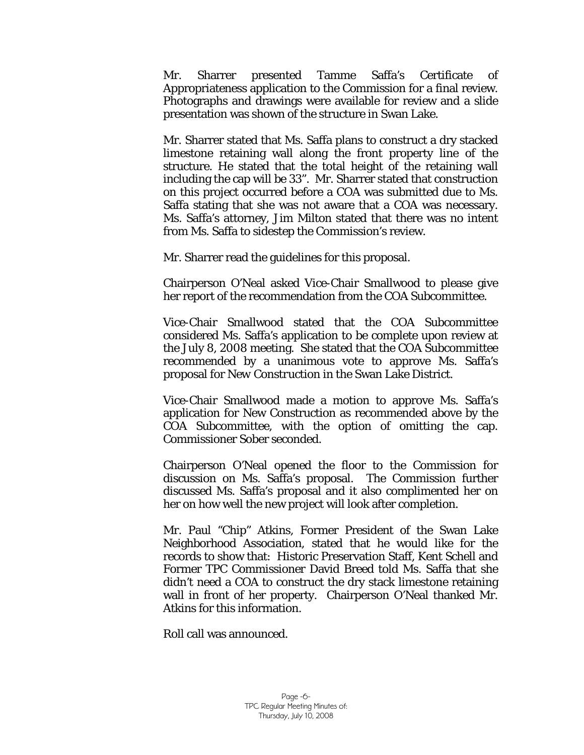Mr. Sharrer presented Tamme Saffa's Certificate of Appropriateness application to the Commission for a final review. Photographs and drawings were available for review and a slide presentation was shown of the structure in Swan Lake.

Mr. Sharrer stated that Ms. Saffa plans to construct a dry stacked limestone retaining wall along the front property line of the structure. He stated that the total height of the retaining wall including the cap will be 33". Mr. Sharrer stated that construction on this project occurred before a COA was submitted due to Ms. Saffa stating that she was not aware that a COA was necessary. Ms. Saffa's attorney, Jim Milton stated that there was no intent from Ms. Saffa to sidestep the Commission's review.

Mr. Sharrer read the guidelines for this proposal.

Chairperson O'Neal asked Vice-Chair Smallwood to please give her report of the recommendation from the COA Subcommittee.

Vice-Chair Smallwood stated that the COA Subcommittee considered Ms. Saffa's application to be complete upon review at the July 8, 2008 meeting. She stated that the COA Subcommittee recommended by a unanimous vote to approve Ms. Saffa's proposal for *New Construction* in the Swan Lake District.

Vice-Chair Smallwood made a motion to approve Ms. Saffa's application for New Construction as recommended above by the COA Subcommittee, with the option of omitting the cap. Commissioner Sober seconded.

Chairperson O'Neal opened the floor to the Commission for discussion on Ms. Saffa's proposal. The Commission further discussed Ms. Saffa's proposal and it also complimented her on her on how well the new project will look after completion.

Mr. Paul "Chip" Atkins, Former President of the Swan Lake Neighborhood Association, stated that he would like for the records to show that: Historic Preservation Staff, Kent Schell and Former TPC Commissioner David Breed told Ms. Saffa that she didn't need a COA to construct the dry stack limestone retaining wall in front of her property. Chairperson O'Neal thanked Mr. Atkins for this information.

Roll call was announced.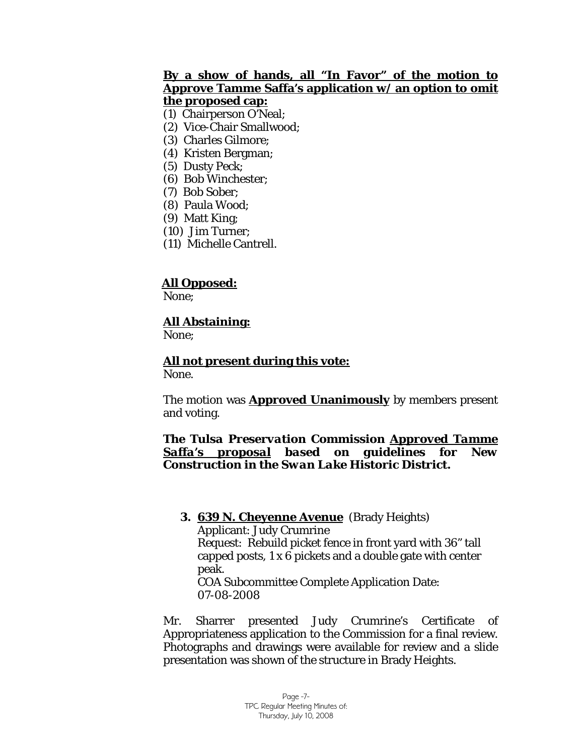## **By a show of hands, all "In Favor" of the motion to Approve Tamme Saffa's application w/ an option to omit the proposed cap:**

(1) Chairperson O'Neal;

- (2) Vice-Chair Smallwood;
- (3) Charles Gilmore;
- (4) Kristen Bergman;
- (5) Dusty Peck;
- (6) Bob Winchester;
- (7) Bob Sober;
- (8) Paula Wood;
- (9) Matt King;
- (10) Jim Turner;
- (11) Michelle Cantrell.

## **All Opposed:**

None;

## **All Abstaining:**

None;

**All not present during this vote:** None.

The motion was **Approved Unanimously** by members present and voting.

#### *The Tulsa Preservation Commission Approved Tamme Saffa's proposal based on guidelines for New Construction in the Swan Lake Historic District.*

#### **3. 639 N. Cheyenne Avenue** (Brady Heights) Applicant: Judy Crumrine Request: Rebuild picket fence in front yard with 36" tall capped posts, 1 x 6 pickets and a double gate with center peak. COA Subcommittee Complete Application Date:

07-08-2008

Mr. Sharrer presented Judy Crumrine's Certificate of Appropriateness application to the Commission for a final review. Photographs and drawings were available for review and a slide presentation was shown of the structure in Brady Heights.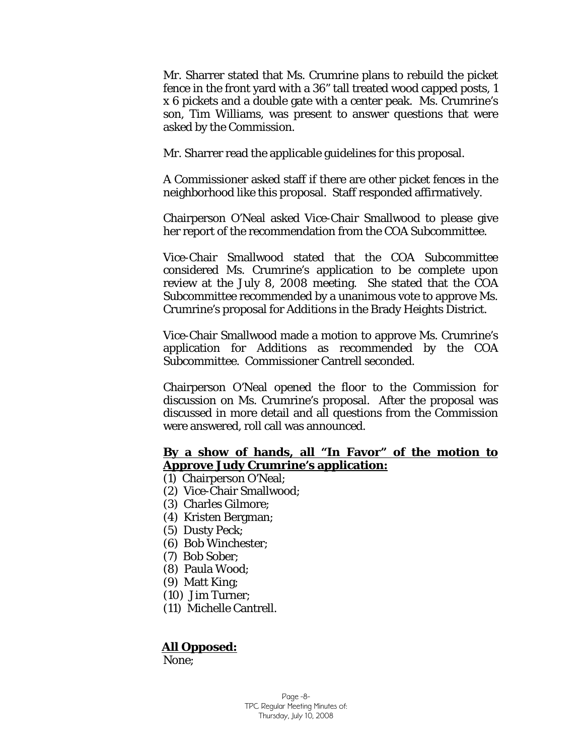Mr. Sharrer stated that Ms. Crumrine plans to rebuild the picket fence in the front yard with a 36" tall treated wood capped posts, 1 x 6 pickets and a double gate with a center peak. Ms. Crumrine's son, Tim Williams, was present to answer questions that were asked by the Commission.

Mr. Sharrer read the applicable guidelines for this proposal.

A Commissioner asked staff if there are other picket fences in the neighborhood like this proposal. Staff responded affirmatively.

Chairperson O'Neal asked Vice-Chair Smallwood to please give her report of the recommendation from the COA Subcommittee.

Vice-Chair Smallwood stated that the COA Subcommittee considered Ms. Crumrine's application to be complete upon review at the July 8, 2008 meeting. She stated that the COA Subcommittee recommended by a unanimous vote to approve Ms. Crumrine's proposal for *Additions* in the Brady Heights District.

Vice-Chair Smallwood made a motion to approve Ms. Crumrine's application for Additions as recommended by the COA Subcommittee. Commissioner Cantrell seconded.

Chairperson O'Neal opened the floor to the Commission for discussion on Ms. Crumrine's proposal. After the proposal was discussed in more detail and all questions from the Commission were answered, roll call was announced.

#### **By a show of hands, all "In Favor" of the motion to Approve Judy Crumrine's application:**

- (1) Chairperson O'Neal;
- (2) Vice-Chair Smallwood;
- (3) Charles Gilmore;
- (4) Kristen Bergman;
- (5) Dusty Peck;
- (6) Bob Winchester;
- (7) Bob Sober;
- (8) Paula Wood;
- (9) Matt King;
- (10) Jim Turner;
- (11) Michelle Cantrell.

## **All Opposed:**

None;

Page -8- TPC Regular Meeting Minutes of: Thursday, July 10, 2008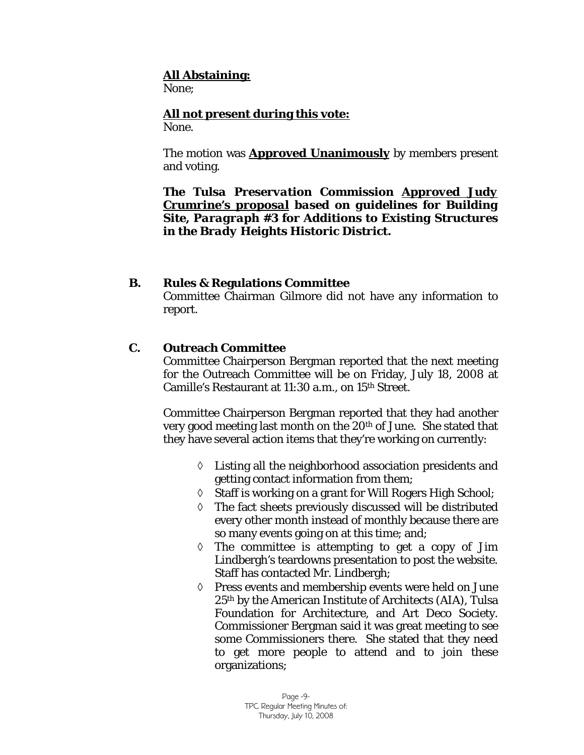## **All Abstaining:**

None;

**All not present during this vote:** None.

The motion was **Approved Unanimously** by members present and voting.

*The Tulsa Preservation Commission Approved Judy Crumrine's proposal based on guidelines for Building Site, Paragraph #3 for Additions to Existing Structures in the Brady Heights Historic District.* 

## **B. Rules & Regulations Committee**

Committee Chairman Gilmore did not have any information to report.

## **C. Outreach Committee**

Committee Chairperson Bergman reported that the next meeting for the Outreach Committee will be on Friday, July 18, 2008 at Camille's Restaurant at 11:30 a.m., on 15th Street.

Committee Chairperson Bergman reported that they had another very good meeting last month on the 20th of June. She stated that they have several action items that they're working on currently:

- ◊ Listing all the neighborhood association presidents and getting contact information from them;
- ◊ Staff is working on a grant for Will Rogers High School;
- ◊ The fact sheets previously discussed will be distributed every other month instead of monthly because there are so many events going on at this time; and;
- $\Diamond$  The committee is attempting to get a copy of Jim Lindbergh's teardowns presentation to post the website. Staff has contacted Mr. Lindbergh;
- ◊ Press events and membership events were held on June 25th by the American Institute of Architects (AIA), Tulsa Foundation for Architecture, and Art Deco Society. Commissioner Bergman said it was great meeting to see some Commissioners there. She stated that they need to get more people to attend and to join these organizations;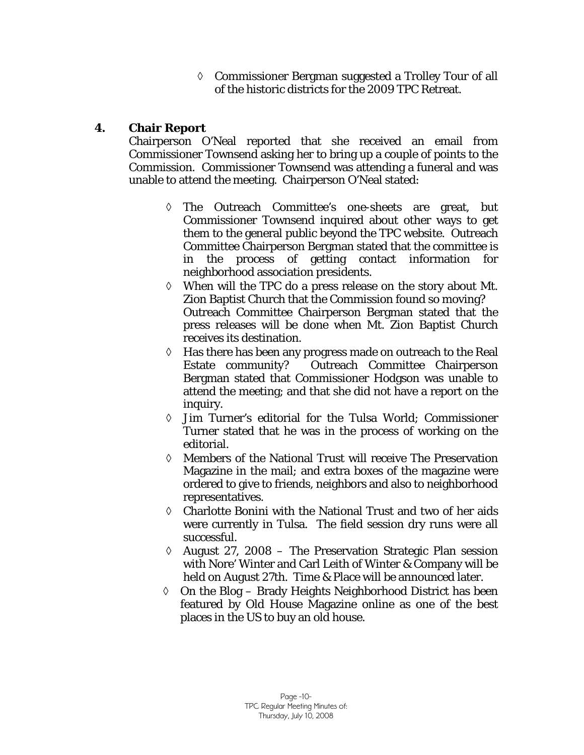◊ Commissioner Bergman suggested a Trolley Tour of all of the historic districts for the 2009 TPC Retreat.

## **4. Chair Report**

Chairperson O'Neal reported that she received an email from Commissioner Townsend asking her to bring up a couple of points to the Commission. Commissioner Townsend was attending a funeral and was unable to attend the meeting. Chairperson O'Neal stated:

- ◊ The Outreach Committee's one-sheets are great, but Commissioner Townsend inquired about other ways to get them to the general public beyond the TPC website. Outreach Committee Chairperson Bergman stated that the committee is in the process of getting contact information for neighborhood association presidents.
- ◊ When will the TPC do a press release on the story about Mt. Zion Baptist Church that the Commission found so moving? Outreach Committee Chairperson Bergman stated that the press releases will be done when Mt. Zion Baptist Church receives its destination.
- ◊ Has there has been any progress made on outreach to the Real Estate community? Outreach Committee Chairperson Bergman stated that Commissioner Hodgson was unable to attend the meeting; and that she did not have a report on the inquiry.
- ◊ Jim Turner's editorial for the Tulsa World; Commissioner Turner stated that he was in the process of working on the editorial.
- ◊ Members of the National Trust will receive The Preservation Magazine in the mail; and extra boxes of the magazine were ordered to give to friends, neighbors and also to neighborhood representatives.
- ◊ Charlotte Bonini with the National Trust and two of her aids were currently in Tulsa. The field session dry runs were all successful.
- $\Diamond$  August 27, 2008 The Preservation Strategic Plan session with Nore' Winter and Carl Leith of Winter & Company will be held on August 27th. Time & Place will be announced later.
- ◊ On the Blog Brady Heights Neighborhood District has been featured by Old House Magazine online as one of the best places in the US to buy an old house.